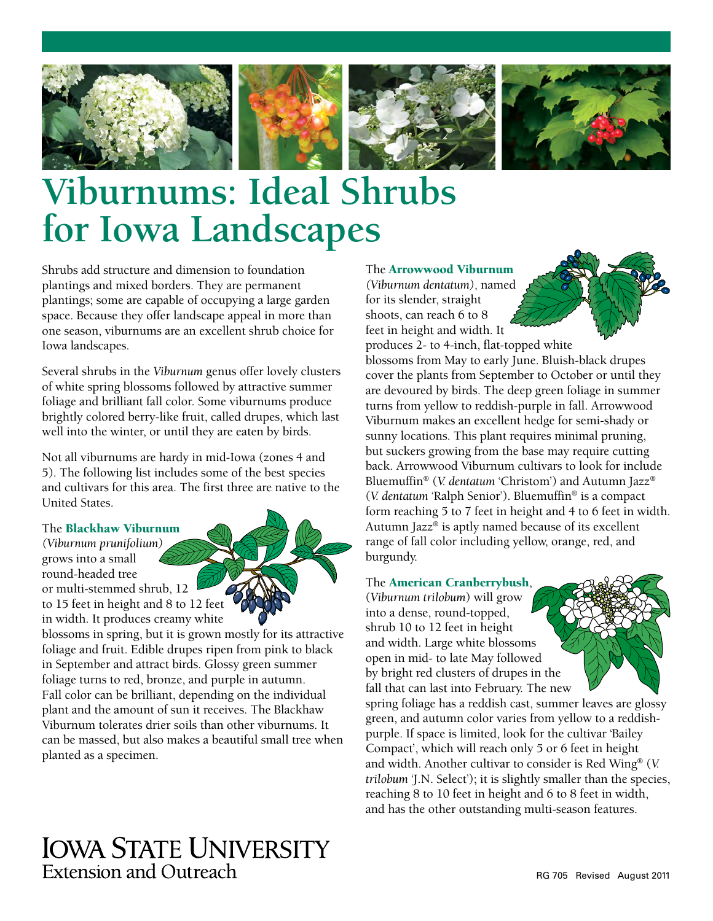







# **Viburnums: Ideal Shrubs for Iowa Landscapes**

Shrubs add structure and dimension to foundation plantings and mixed borders. They are permanent plantings; some are capable of occupying a large garden space. Because they offer landscape appeal in more than one season, viburnums are an excellent shrub choice for Iowa landscapes.

Several shrubs in the *Viburnum* genus offer lovely clusters of white spring blossoms followed by attractive summer foliage and brilliant fall color. Some viburnums produce brightly colored berry-like fruit, called drupes, which last well into the winter, or until they are eaten by birds.

Not all viburnums are hardy in mid-Iowa (zones 4 and 5). The following list includes some of the best species and cultivars for this area. The first three are native to the United States.

# The Blackhaw Viburnum

*(Viburnum prunifolium)* grows into a small round-headed tree or multi-stemmed shrub, 12 to 15 feet in height and 8 to 12 feet in width. It produces creamy white

blossoms in spring, but it is grown mostly for its attractive foliage and fruit. Edible drupes ripen from pink to black in September and attract birds. Glossy green summer foliage turns to red, bronze, and purple in autumn. Fall color can be brilliant, depending on the individual plant and the amount of sun it receives. The Blackhaw Viburnum tolerates drier soils than other viburnums. It can be massed, but also makes a beautiful small tree when planted as a specimen.

# The Arrowwood Viburnum *(Viburnum dentatum)*, named

for its slender, straight shoots, can reach 6 to 8 feet in height and width. It

produces 2- to 4-inch, flat-topped white blossoms from May to early June. Bluish-black drupes cover the plants from September to October or until they are devoured by birds. The deep green foliage in summer turns from yellow to reddish-purple in fall. Arrowwood Viburnum makes an excellent hedge for semi-shady or

sunny locations. This plant requires minimal pruning, but suckers growing from the base may require cutting back. Arrowwood Viburnum cultivars to look for include Bluemuffin® (*V. dentatum* 'Christom') and Autumn Jazz® (*V. dentatum* 'Ralph Senior'). Bluemuffin® is a compact form reaching 5 to 7 feet in height and 4 to 6 feet in width. Autumn Jazz® is aptly named because of its excellent range of fall color including yellow, orange, red, and burgundy.

# The American Cranberrybush,

(*Viburnum trilobum*) will grow into a dense, round-topped, shrub 10 to 12 feet in height and width. Large white blossoms open in mid- to late May followed by bright red clusters of drupes in the fall that can last into February. The new



spring foliage has a reddish cast, summer leaves are glossy green, and autumn color varies from yellow to a reddishpurple. If space is limited, look for the cultivar 'Bailey Compact', which will reach only 5 or 6 feet in height and width. Another cultivar to consider is Red Wing® (*V. trilobum* 'J.N. Select'); it is slightly smaller than the species, reaching 8 to 10 feet in height and 6 to 8 feet in width, and has the other outstanding multi-season features.

# **IOWA STATE UNIVERSITY** Extension and Outreach